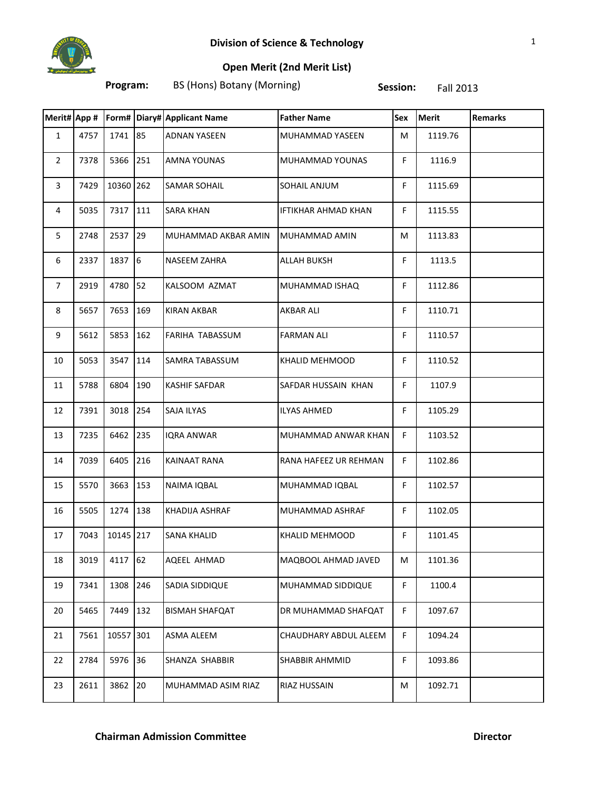

## **Open Merit (2nd Merit List)**

**Program:** BS (Hons) Botany (Morning) **Session:** Fall 2013

|                         |      |           |     | Merit# App #   Form# Diary# Applicant Name | <b>Father Name</b>    | Sex | <b>Merit</b> | <b>Remarks</b> |
|-------------------------|------|-----------|-----|--------------------------------------------|-----------------------|-----|--------------|----------------|
| $\mathbf{1}$            | 4757 | 1741 85   |     | <b>ADNAN YASEEN</b>                        | MUHAMMAD YASEEN       | M   | 1119.76      |                |
| $\overline{2}$          | 7378 | 5366      | 251 | <b>AMNA YOUNAS</b>                         | MUHAMMAD YOUNAS       | F.  | 1116.9       |                |
| $\overline{\mathbf{3}}$ | 7429 | 10360 262 |     | <b>SAMAR SOHAIL</b>                        | SOHAIL ANJUM          | F.  | 1115.69      |                |
| $\overline{4}$          | 5035 | 7317 111  |     | <b>SARA KHAN</b>                           | IFTIKHAR AHMAD KHAN   | F   | 1115.55      |                |
| 5                       | 2748 | 2537 29   |     | MUHAMMAD AKBAR AMIN                        | MUHAMMAD AMIN         | M   | 1113.83      |                |
| 6                       | 2337 | 1837 6    |     | NASEEM ZAHRA                               | <b>ALLAH BUKSH</b>    | F   | 1113.5       |                |
| $\overline{7}$          | 2919 | 4780 52   |     | KALSOOM AZMAT                              | MUHAMMAD ISHAQ        | F   | 1112.86      |                |
| 8                       | 5657 | 7653      | 169 | <b>KIRAN AKBAR</b>                         | <b>AKBAR ALI</b>      | F.  | 1110.71      |                |
| 9                       | 5612 | 5853      | 162 | <b>FARIHA TABASSUM</b>                     | <b>FARMAN ALI</b>     | F.  | 1110.57      |                |
| 10                      | 5053 | 3547 114  |     | <b>SAMRA TABASSUM</b>                      | <b>KHALID MEHMOOD</b> | F.  | 1110.52      |                |
| 11                      | 5788 | 6804      | 190 | <b>KASHIF SAFDAR</b>                       | SAFDAR HUSSAIN KHAN   | F.  | 1107.9       |                |
| 12                      | 7391 | 3018 254  |     | SAJA ILYAS                                 | <b>ILYAS AHMED</b>    | F.  | 1105.29      |                |
| 13                      | 7235 | 6462 235  |     | <b>IQRA ANWAR</b>                          | MUHAMMAD ANWAR KHAN   | F.  | 1103.52      |                |
| 14                      | 7039 | 6405      | 216 | <b>KAINAAT RANA</b>                        | RANA HAFEEZ UR REHMAN | F.  | 1102.86      |                |
| 15                      | 5570 | 3663 153  |     | NAIMA IQBAL                                | MUHAMMAD IQBAL        | F.  | 1102.57      |                |
| 16                      | 5505 | 1274      | 138 | KHADIJA ASHRAF                             | MUHAMMAD ASHRAF       | F.  | 1102.05      |                |
| 17                      | 7043 | 10145 217 |     | <b>SANA KHALID</b>                         | KHALID MEHMOOD        | F.  | 1101.45      |                |
| 18                      | 3019 | 4117 62   |     | AQEEL AHMAD                                | MAQBOOL AHMAD JAVED   | M   | 1101.36      |                |
| 19                      | 7341 | 1308      | 246 | SADIA SIDDIQUE                             | MUHAMMAD SIDDIQUE     | F.  | 1100.4       |                |
| 20                      | 5465 | 7449      | 132 | <b>BISMAH SHAFQAT</b>                      | DR MUHAMMAD SHAFQAT   | F   | 1097.67      |                |
| 21                      | 7561 | 10557 301 |     | ASMA ALEEM                                 | CHAUDHARY ABDUL ALEEM | F.  | 1094.24      |                |
| 22                      | 2784 | 5976 36   |     | SHANZA SHABBIR                             | <b>SHABBIR AHMMID</b> | F.  | 1093.86      |                |
| 23                      | 2611 | 3862      | 20  | MUHAMMAD ASIM RIAZ                         | RIAZ HUSSAIN          | M   | 1092.71      |                |